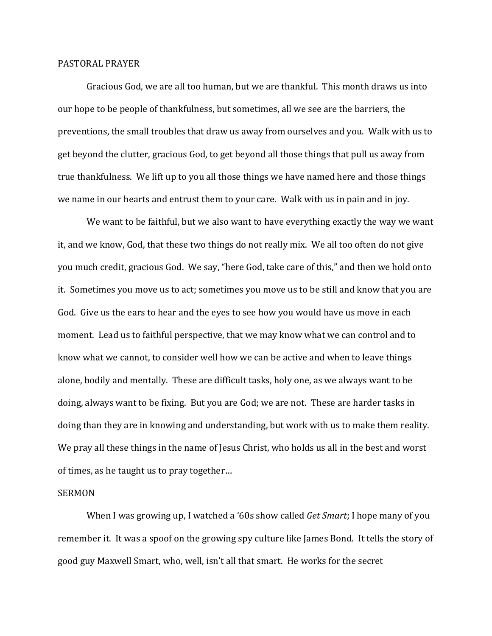## PASTORAL PRAYER

 Gracious God, we are all too human, but we are thankful. This month draws us into our hope to be people of thankfulness, but sometimes, all we see are the barriers, the preventions, the small troubles that draw us away from ourselves and you. Walk with us to get beyond the clutter, gracious God, to get beyond all those things that pull us away from true thankfulness. We lift up to you all those things we have named here and those things we name in our hearts and entrust them to your care. Walk with us in pain and in joy.

We want to be faithful, but we also want to have everything exactly the way we want it, and we know, God, that these two things do not really mix. We all too often do not give you much credit, gracious God. We say, "here God, take care of this," and then we hold onto it. Sometimes you move us to act; sometimes you move us to be still and know that you are God. Give us the ears to hear and the eyes to see how you would have us move in each moment. Lead us to faithful perspective, that we may know what we can control and to know what we cannot, to consider well how we can be active and when to leave things alone, bodily and mentally. These are difficult tasks, holy one, as we always want to be doing, always want to be fixing. But you are God; we are not. These are harder tasks in doing than they are in knowing and understanding, but work with us to make them reality. We pray all these things in the name of Jesus Christ, who holds us all in the best and worst of times, as he taught us to pray together…

## SERMON

 When I was growing up, I watched a '60s show called *Get Smart*; I hope many of you remember it. It was a spoof on the growing spy culture like James Bond. It tells the story of good guy Maxwell Smart, who, well, isn't all that smart. He works for the secret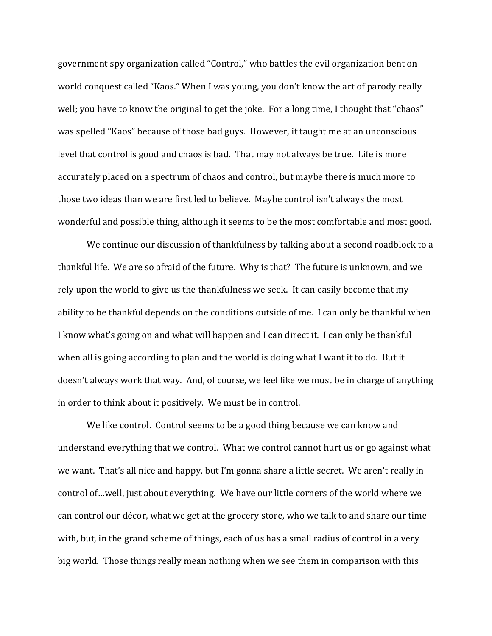government spy organization called "Control," who battles the evil organization bent on world conquest called "Kaos." When I was young, you don't know the art of parody really well; you have to know the original to get the joke. For a long time, I thought that "chaos" was spelled "Kaos" because of those bad guys. However, it taught me at an unconscious level that control is good and chaos is bad. That may not always be true. Life is more accurately placed on a spectrum of chaos and control, but maybe there is much more to those two ideas than we are first led to believe. Maybe control isn't always the most wonderful and possible thing, although it seems to be the most comfortable and most good.

We continue our discussion of thankfulness by talking about a second roadblock to a thankful life. We are so afraid of the future. Why is that? The future is unknown, and we rely upon the world to give us the thankfulness we seek. It can easily become that my ability to be thankful depends on the conditions outside of me. I can only be thankful when I know what's going on and what will happen and I can direct it. I can only be thankful when all is going according to plan and the world is doing what I want it to do. But it doesn't always work that way. And, of course, we feel like we must be in charge of anything in order to think about it positively. We must be in control.

We like control. Control seems to be a good thing because we can know and understand everything that we control. What we control cannot hurt us or go against what we want. That's all nice and happy, but I'm gonna share a little secret. We aren't really in control of…well, just about everything. We have our little corners of the world where we can control our décor, what we get at the grocery store, who we talk to and share our time with, but, in the grand scheme of things, each of us has a small radius of control in a very big world. Those things really mean nothing when we see them in comparison with this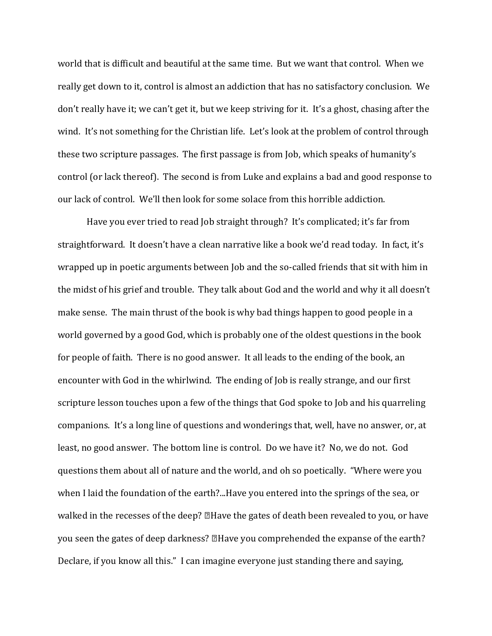world that is difficult and beautiful at the same time. But we want that control. When we really get down to it, control is almost an addiction that has no satisfactory conclusion. We don't really have it; we can't get it, but we keep striving for it. It's a ghost, chasing after the wind. It's not something for the Christian life. Let's look at the problem of control through these two scripture passages. The first passage is from Job, which speaks of humanity's control (or lack thereof). The second is from Luke and explains a bad and good response to our lack of control. We'll then look for some solace from this horrible addiction.

Have you ever tried to read Job straight through? It's complicated; it's far from straightforward. It doesn't have a clean narrative like a book we'd read today. In fact, it's wrapped up in poetic arguments between Job and the so-called friends that sit with him in the midst of his grief and trouble. They talk about God and the world and why it all doesn't make sense. The main thrust of the book is why bad things happen to good people in a world governed by a good God, which is probably one of the oldest questions in the book for people of faith. There is no good answer. It all leads to the ending of the book, an encounter with God in the whirlwind. The ending of Job is really strange, and our first scripture lesson touches upon a few of the things that God spoke to Job and his quarreling companions. It's a long line of questions and wonderings that, well, have no answer, or, at least, no good answer. The bottom line is control. Do we have it? No, we do not. God questions them about all of nature and the world, and oh so poetically. "Where were you when I laid the foundation of the earth?...Have you entered into the springs of the sea, or walked in the recesses of the deep? **ZHave the gates of death been revealed to you**, or have you seen the gates of deep darkness? 
Have you comprehended the expanse of the earth? Declare, if you know all this." I can imagine everyone just standing there and saying,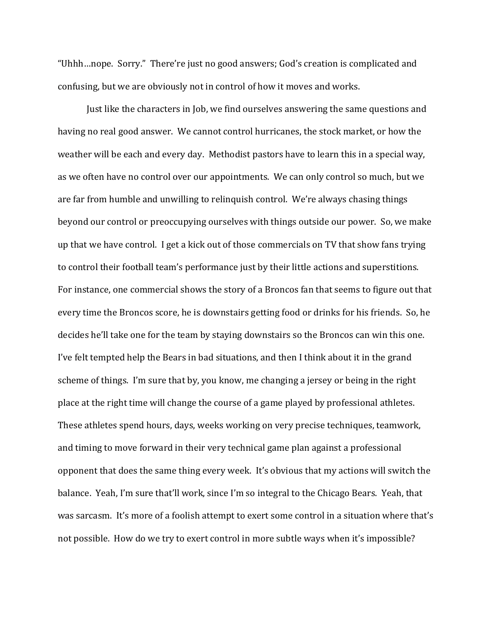"Uhhh…nope. Sorry." There're just no good answers; God's creation is complicated and confusing, but we are obviously not in control of how it moves and works.

Just like the characters in Job, we find ourselves answering the same questions and having no real good answer. We cannot control hurricanes, the stock market, or how the weather will be each and every day. Methodist pastors have to learn this in a special way, as we often have no control over our appointments. We can only control so much, but we are far from humble and unwilling to relinquish control. We're always chasing things beyond our control or preoccupying ourselves with things outside our power. So, we make up that we have control. I get a kick out of those commercials on TV that show fans trying to control their football team's performance just by their little actions and superstitions. For instance, one commercial shows the story of a Broncos fan that seems to figure out that every time the Broncos score, he is downstairs getting food or drinks for his friends. So, he decides he'll take one for the team by staying downstairs so the Broncos can win this one. I've felt tempted help the Bears in bad situations, and then I think about it in the grand scheme of things. I'm sure that by, you know, me changing a jersey or being in the right place at the right time will change the course of a game played by professional athletes. These athletes spend hours, days, weeks working on very precise techniques, teamwork, and timing to move forward in their very technical game plan against a professional opponent that does the same thing every week. It's obvious that my actions will switch the balance. Yeah, I'm sure that'll work, since I'm so integral to the Chicago Bears. Yeah, that was sarcasm. It's more of a foolish attempt to exert some control in a situation where that's not possible. How do we try to exert control in more subtle ways when it's impossible?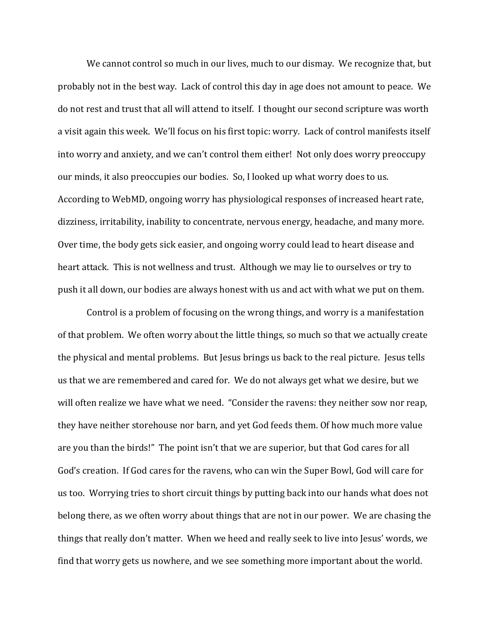We cannot control so much in our lives, much to our dismay. We recognize that, but probably not in the best way. Lack of control this day in age does not amount to peace. We do not rest and trust that all will attend to itself. I thought our second scripture was worth a visit again this week. We'll focus on his first topic: worry. Lack of control manifests itself into worry and anxiety, and we can't control them either! Not only does worry preoccupy our minds, it also preoccupies our bodies. So, I looked up what worry does to us. According to WebMD, ongoing worry has physiological responses of increased heart rate, dizziness, irritability, inability to concentrate, nervous energy, headache, and many more. Over time, the body gets sick easier, and ongoing worry could lead to heart disease and heart attack. This is not wellness and trust. Although we may lie to ourselves or try to push it all down, our bodies are always honest with us and act with what we put on them.

Control is a problem of focusing on the wrong things, and worry is a manifestation of that problem. We often worry about the little things, so much so that we actually create the physical and mental problems. But Jesus brings us back to the real picture. Jesus tells us that we are remembered and cared for. We do not always get what we desire, but we will often realize we have what we need. "Consider the ravens: they neither sow nor reap, they have neither storehouse nor barn, and yet God feeds them. Of how much more value are you than the birds!" The point isn't that we are superior, but that God cares for all God's creation. If God cares for the ravens, who can win the Super Bowl, God will care for us too. Worrying tries to short circuit things by putting back into our hands what does not belong there, as we often worry about things that are not in our power. We are chasing the things that really don't matter. When we heed and really seek to live into Jesus' words, we find that worry gets us nowhere, and we see something more important about the world.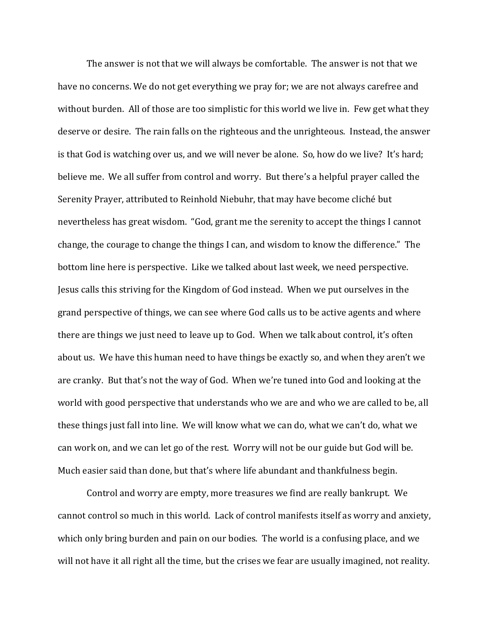The answer is not that we will always be comfortable. The answer is not that we have no concerns. We do not get everything we pray for; we are not always carefree and without burden. All of those are too simplistic for this world we live in. Few get what they deserve or desire. The rain falls on the righteous and the unrighteous. Instead, the answer is that God is watching over us, and we will never be alone. So, how do we live? It's hard; believe me. We all suffer from control and worry. But there's a helpful prayer called the Serenity Prayer, attributed to Reinhold Niebuhr, that may have become cliché but nevertheless has great wisdom. "God, grant me the serenity to accept the things I cannot change, the courage to change the things I can, and wisdom to know the difference." The bottom line here is perspective. Like we talked about last week, we need perspective. Jesus calls this striving for the Kingdom of God instead. When we put ourselves in the grand perspective of things, we can see where God calls us to be active agents and where there are things we just need to leave up to God. When we talk about control, it's often about us. We have this human need to have things be exactly so, and when they aren't we are cranky. But that's not the way of God. When we're tuned into God and looking at the world with good perspective that understands who we are and who we are called to be, all these things just fall into line. We will know what we can do, what we can't do, what we can work on, and we can let go of the rest. Worry will not be our guide but God will be. Much easier said than done, but that's where life abundant and thankfulness begin.

Control and worry are empty, more treasures we find are really bankrupt. We cannot control so much in this world. Lack of control manifests itself as worry and anxiety, which only bring burden and pain on our bodies. The world is a confusing place, and we will not have it all right all the time, but the crises we fear are usually imagined, not reality.